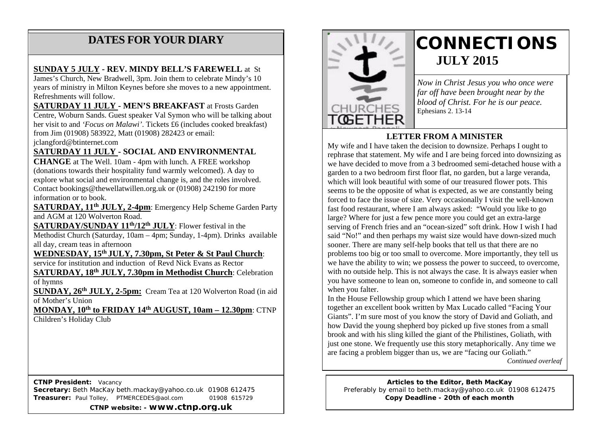#### **DATES FOR YOUR DIARY**

#### **SUNDAY 5 JULY - REV. MINDY BELL'S FAREWELL** at St

 years of ministry in Milton Keynes before she moves to a new appointment. Refreshments will follow. James's Church, New Bradwell, 3pm. Join them to celebrate Mindy's 10

**SATURDAY 11 JULY - MEN'S BREAKFAST** at Frosts Garden Centre, Woburn Sands. Guest speaker Val Symon who will be talking about her visit to and *'Focus on Malawi'*. Tickets £6 (includes cooked breakfast) from Jim (01908) 583922, Matt (01908) 282423 or email:

jclangford@btinternet.com

#### **SATURDAY 11 JULY - SOCIAL AND ENVIRONMENTAL**

**CHANGE** at The Well. 10am - 4pm with lunch. A FREE workshop (donations towards their hospitality fund warmly welcomed). A day to explore what social and environmental change is, and the roles involved. Contact bookings@thewellatwillen.org.uk or (01908) 242190 for more information or to book.

**SATURDAY, 11th JULY, 2-4pm**: Emergency Help Scheme Garden Party and AGM at 120 Wolverton Road.

**SATURDAY/SUNDAY 11th/12th JULY**: Flower festival in the Methodist Church (Saturday, 10am – 4pm; Sunday, 1-4pm). Drinks available all day, cream teas in afternoon

**WEDNESDAY, 15th JULY, 7.30pm, St Peter & St Paul Church**:

service for institution and induction of Revd Nick Evans as Rector

**SATURDAY, 18th JULY, 7.30pm in Methodist Church**: Celebration of hymns

**SUNDAY, 26th JULY, 2-5pm:** Cream Tea at 120 Wolverton Road (in aid of Mother's Union

**MONDAY, 10th to FRIDAY 14th AUGUST, 10am – 12.30pm**: CTNP Children's Holiday Club

 **CTNP President:** Vacancy **Secretary:** Beth MacKay beth.mackay@yahoo.co.uk 01908 612475 **Treasurer:** Paul Tolley, PTMERCEDES@aol.com 01908 615729

**CTNP website: - www.ctnp.org.uk**



### **CONNECTIONS JULY 2015**

*Now in Christ Jesus you who once were far off have been brought near by the blood of Christ. For he is our peace.* Ephesians 2. 13-14

#### **LETTER FROM A MINISTER**

My wife and I have taken the decision to downsize. Perhaps I ought to rephrase that statement. My wife and I are being forced into downsizing as we have decided to move from a 3 bedroomed semi-detached house with a garden to a two bedroom first floor flat, no garden, but a large veranda, which will look beautiful with some of our treasured flower pots. This seems to be the opposite of what is expected, as we are constantly being forced to face the issue of size. Very occasionally I visit the well-known fast food restaurant, where I am always asked: "Would you like to go large? Where for just a few pence more you could get an extra-large serving of French fries and an "ocean-sized" soft drink. How I wish I had said "No!" and then perhaps my waist size would have down-sized much sooner. There are many self-help books that tell us that there are no problems too big or too small to overcome. More importantly, they tell us we have the ability to win; we possess the power to succeed, to overcome, with no outside help. This is not always the case. It is always easier when you have someone to lean on, someone to confide in, and someone to call when you falter.

In the House Fellowship group which I attend we have been sharing together an excellent book written by Max Lucado called "Facing Your Giants". I'm sure most of you know the story of David and Goliath, and how David the young shepherd boy picked up five stones from a small brook and with his sling killed the giant of the Philistines, Goliath, with just one stone. We frequently use this story metaphorically. Any time we are facing a problem bigger than us, we are "facing our Goliath."

*Continued overleaf*

**Articles to the Editor, Beth MacKay** Preferably by email to beth.mackay@yahoo.co.uk 01908 612475 **Copy Deadline - 20th of each month**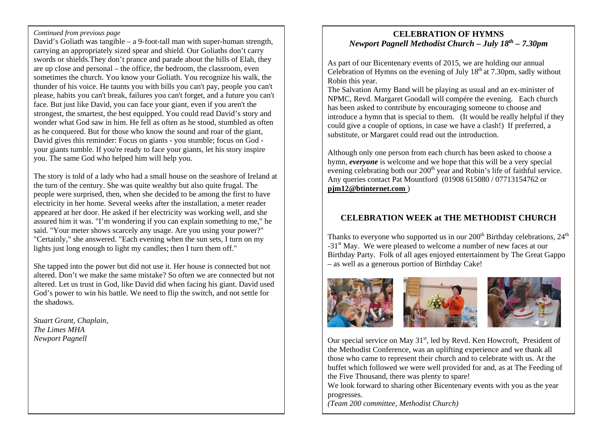#### *Continued from previous page*

David's Goliath was tangible – a 9-foot-tall man with super-human strength, carrying an appropriately sized spear and shield. Our Goliaths don't carry swords or shields.They don't prance and parade about the hills of Elah, they are up close and personal – the office, the bedroom, the classroom, even sometimes the church. You know your Goliath. You recognize his walk, the thunder of his voice. He taunts you with bills you can't pay, people you can't please, habits you can't break, failures you can't forget, and a future you can't face. But just like David, you can face your giant, even if you aren't the strongest, the smartest, the best equipped. You could read David's story and wonder what God saw in him. He fell as often as he stood, stumbled as often as he conquered. But for those who know the sound and roar of the giant, David gives this reminder: Focus on giants - you stumble; focus on God your giants tumble. If you're ready to face your giants, let his story inspire you. The same God who helped him will help you.

The story is told of a lady who had a small house on the seashore of Ireland at the turn of the century. She was quite wealthy but also quite frugal. The people were surprised, then, when she decided to be among the first to have electricity in her home. Several weeks after the installation, a meter reader appeared at her door. He asked if her electricity was working well, and she assured him it was. "I'm wondering if you can explain something to me," he said. "Your meter shows scarcely any usage. Are you using your power?" "Certainly," she answered. "Each evening when the sun sets, I turn on my lights just long enough to light my candles; then I turn them off."

She tapped into the power but did not use it. Her house is connected but not altered. Don't we make the same mistake? So often we are connected but not altered. Let us trust in God, like David did when facing his giant. David used God's power to win his battle. We need to flip the switch, and not settle for the shadows.

*Stuart Grant, Chaplain, The Limes MHA Newport Pagnell*

#### **CELEBRATION OF HYMNS** *Newport Pagnell Methodist Church – July 18th – 7.30pm*

As part of our Bicentenary events of 2015, we are holding our annual Celebration of Hymns on the evening of July  $18<sup>th</sup>$  at 7.30pm, sadly without Robin this year.

The Salvation Army Band will be playing as usual and an ex-minister of NPMC, Revd. Margaret Goodall will compére the evening. Each church has been asked to contribute by encouraging someone to choose and introduce a hymn that is special to them. (It would be really helpful if they could give a couple of options, in case we have a clash!) If preferred, a substitute, or Margaret could read out the introduction.

Although only one person from each church has been asked to choose a hymn, *everyone* is welcome and we hope that this will be a very special evening celebrating both our 200<sup>th</sup> year and Robin's life of faithful service. Any queries contact Pat Mountford (01908 615080 / 07713154762 or **pjm12@btinternet.com** )

#### **CELEBRATION WEEK at THE METHODIST CHURCH**

Thanks to everyone who supported us in our  $200<sup>th</sup>$  Birthday celebrations,  $24<sup>th</sup>$ -31<sup>st</sup> May. We were pleased to welcome a number of new faces at our Birthday Party. Folk of all ages enjoyed entertainment by The Great Gappo – as well as a generous portion of Birthday Cake!



Our special service on May  $31<sup>st</sup>$ , led by Revd. Ken Howcroft, President of the Methodist Conference, was an uplifting experience and we thank all those who came to represent their church and to celebrate with us. At the buffet which followed we were well provided for and, as at The Feeding of the Five Thousand, there was plenty to spare!

We look forward to sharing other Bicentenary events with you as the year progresses.

*(Team 200 committee, Methodist Church)*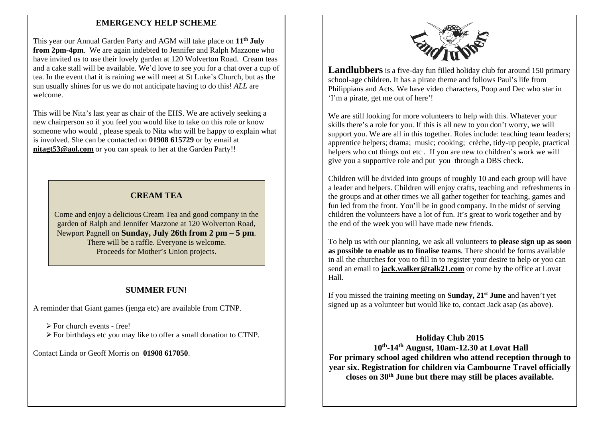#### **EMERGENCY HELP SCHEME**

This year our Annual Garden Party and AGM will take place on **11th July from 2pm-4pm**. We are again indebted to Jennifer and Ralph Mazzone who have invited us to use their lovely garden at 120 Wolverton Road. Cream teas and a cake stall will be available. We'd love to see you for a chat over a cup of tea. In the event that it is raining we will meet at St Luke's Church, but as the sun usually shines for us we do not anticipate having to do this! *ALL* are welcome.

This will be Nita's last year as chair of the EHS. We are actively seeking a new chairperson so if you feel you would like to take on this role or know someone who would , please speak to Nita who will be happy to explain what is involved. She can be contacted on **01908 615729** or by email at **nitagt53@aol.com** or you can speak to her at the Garden Party!!

#### **CREAM TEA**

Come and enjoy a delicious Cream Tea and good company in the garden of Ralph and Jennifer Mazzone at 120 Wolverton Road, Newport Pagnell on **Sunday, July 26th from 2 pm – 5 pm**. There will be a raffle. Everyone is welcome. Proceeds for Mother's Union projects.

#### **SUMMER FUN!**

A reminder that Giant games (jenga etc) are available from CTNP.

 $\triangleright$  For church events - free!

For birthdays etc you may like to offer a small donation to CTNP.

Contact Linda or Geoff Morris on **01908 617050**.



**Landlubbers** is a five-day fun filled holiday club for around 150 primary school-age children. It has a pirate theme and follows Paul's life from Philippians and Acts. We have video characters, Poop and Dec who star in 'I'm a pirate, get me out of here'!

We are still looking for more volunteers to help with this. Whatever your skills there's a role for you. If this is all new to you don't worry, we will support you. We are all in this together. Roles include: teaching team leaders; apprentice helpers; drama; music; cooking; crèche, tidy-up people, practical helpers who cut things out etc . If you are new to children's work we will give you a supportive role and put you through a DBS check.

Children will be divided into groups of roughly 10 and each group will have a leader and helpers. Children will enjoy crafts, teaching and refreshments in the groups and at other times we all gather together for teaching, games and fun led from the front. You'll be in good company. In the midst of serving children the volunteers have a lot of fun. It's great to work together and by the end of the week you will have made new friends.

To help us with our planning, we ask all volunteers **to please sign up as soon as possible to enable us to finalise teams**. There should be forms available in all the churches for you to fill in to register your desire to help or you can send an email to **jack.walker@talk21.com** or come by the office at Lovat Hall.

If you missed the training meeting on **Sunday, 21st June** and haven't yet signed up as a volunteer but would like to, contact Jack asap (as above).

**Holiday Club 2015 10th-14th August, 10am-12.30 at Lovat Hall For primary school aged children who attend reception through to year six. Registration for children via Cambourne Travel officially closes on 30th June but there may still be places available.**